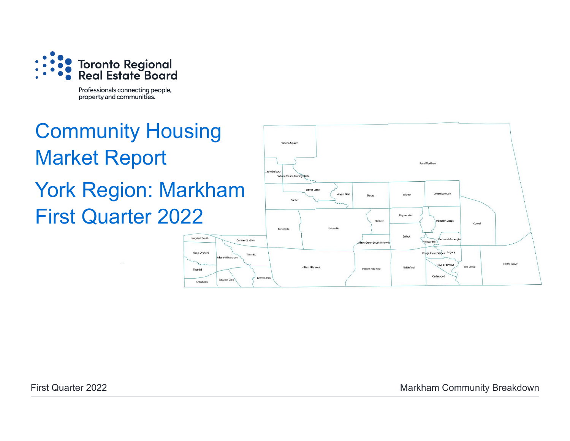

Professionals connecting people, property and communities.

# Community Housing Market Report York Region: Markham First Quarter 2022Langstaff South

Royal Orchard

Thornhill

Grandview



First Quarter 2022 **Markham Community Breakdown**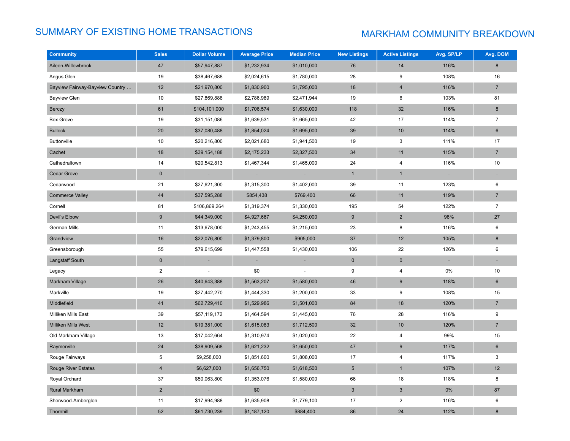# SUMMARY OF EXISTING HOME TRANSACTIONS MARKHAM COMMUNITY BREAKDOWN

| <b>Community</b>                | <b>Sales</b>     | <b>Dollar Volume</b> | <b>Average Price</b> | <b>Median Price</b> | <b>New Listings</b> | <b>Active Listings</b>  | Avg. SP/LP                      | Avg. DOM       |
|---------------------------------|------------------|----------------------|----------------------|---------------------|---------------------|-------------------------|---------------------------------|----------------|
| Aileen-Willowbrook              | 47               | \$57,947,887         | \$1,232,934          | \$1,010,000         | 76                  | 14                      | 116%                            | 8              |
| Angus Glen                      | 19               | \$38,467,688         | \$2,024,615          | \$1,780,000         | 28                  | 9                       | 108%                            | 16             |
| Bayview Fairway-Bayview Country | 12               | \$21,970,800         | \$1,830,900          | \$1,795,000         | 18                  | $\overline{4}$          | 116%                            | $\overline{7}$ |
| <b>Bayview Glen</b>             | 10               | \$27,869,888         | \$2,786,989          | \$2,471,944         | 19                  | 6                       | 103%                            | 81             |
| Berczy                          | 61               | \$104,101,000        | \$1,706,574          | \$1,630,000         | 118                 | 32                      | 116%                            | 8              |
| <b>Box Grove</b>                | 19               | \$31,151,086         | \$1,639,531          | \$1,665,000         | 42                  | 17                      | 114%                            | $\overline{7}$ |
| <b>Bullock</b>                  | 20               | \$37,080,488         | \$1,854,024          | \$1,695,000         | 39                  | 10                      | 114%                            | 6              |
| <b>Buttonville</b>              | 10               | \$20,216,800         | \$2,021,680          | \$1,941,500         | 19                  | 3                       | 111%                            | 17             |
| Cachet                          | 18               | \$39,154,188         | \$2,175,233          | \$2,327,500         | 34                  | 11                      | 115%                            | $\overline{7}$ |
| Cathedraltown                   | 14               | \$20,542,813         | \$1,467,344          | \$1,465,000         | 24                  | $\overline{4}$          | 116%                            | 10             |
| <b>Cedar Grove</b>              | $\mathbf 0$      |                      |                      |                     | $\mathbf{1}$        | $\mathbf{1}$            |                                 |                |
| Cedarwood                       | 21               | \$27,621,300         | \$1,315,300          | \$1,402,000         | 39                  | 11                      | 123%                            | 6              |
| <b>Commerce Valley</b>          | 44               | \$37,595,288         | \$854,438            | \$769,400           | 66                  | 11                      | 119%                            | $\overline{7}$ |
| Cornell                         | 81               | \$106,869,264        | \$1,319,374          | \$1,330,000         | 195                 | 54                      | 122%                            | $\overline{7}$ |
| Devil's Elbow                   | $\boldsymbol{9}$ | \$44,349,000         | \$4,927,667          | \$4,250,000         | 9                   | $\overline{2}$          | 98%                             | 27             |
| German Mills                    | 11               | \$13,678,000         | \$1,243,455          | \$1,215,000         | 23                  | 8                       | 116%                            | 6              |
| Grandview                       | 16               | \$22,076,800         | \$1,379,800          | \$905,000           | 37                  | 12                      | 105%                            | 8              |
| Greensborough                   | 55               | \$79,615,699         | \$1,447,558          | \$1,430,000         | 106                 | 22                      | 126%                            | 6              |
| Langstaff South                 | $\pmb{0}$        | $\sim$               |                      |                     | $\mathbf 0$         | $\pmb{0}$               | $\hspace{0.1mm}-\hspace{0.1mm}$ |                |
| Legacy                          | $\overline{2}$   |                      | \$0                  |                     | 9                   | $\overline{\mathbf{4}}$ | 0%                              | 10             |
| Markham Village                 | 26               | \$40,643,388         | \$1,563,207          | \$1,580,000         | 46                  | 9                       | 118%                            | $6\phantom{1}$ |
| Markville                       | 19               | \$27,442,270         | \$1,444,330          | \$1,200,000         | 33                  | 9                       | 108%                            | 15             |
| Middlefield                     | 41               | \$62,729,410         | \$1,529,986          | \$1,501,000         | 84                  | 18                      | 120%                            | $\overline{7}$ |
| Milliken Mills East             | 39               | \$57,119,172         | \$1,464,594          | \$1,445,000         | 76                  | 28                      | 116%                            | 9              |
| <b>Milliken Mills West</b>      | 12               | \$19,381,000         | \$1,615,083          | \$1,712,500         | 32                  | $10$                    | 120%                            | $\overline{7}$ |
| Old Markham Village             | 13               | \$17,042,664         | \$1,310,974          | \$1,020,000         | 22                  | 4                       | 99%                             | 15             |
| Raymerville                     | 24               | \$38,909,568         | \$1,621,232          | \$1,650,000         | 47                  | 9                       | 117%                            | $6\phantom{1}$ |
| Rouge Fairways                  | 5                | \$9,258,000          | \$1,851,600          | \$1,808,000         | 17                  | 4                       | 117%                            | $\mathbf{3}$   |
| Rouge River Estates             | $\overline{4}$   | \$6,627,000          | \$1,656,750          | \$1,618,500         | $5\phantom{.0}$     | $\mathbf{1}$            | 107%                            | 12             |
| Royal Orchard                   | 37               | \$50,063,800         | \$1,353,076          | \$1,580,000         | 66                  | 18                      | 118%                            | 8              |
| Rural Markham                   | $\overline{2}$   |                      | \$0                  |                     | $\mathbf{3}$        | $\sqrt{3}$              | 0%                              | 87             |
| Sherwood-Amberglen              | 11               | \$17,994,988         | \$1,635,908          | \$1,779,100         | 17                  | 2                       | 116%                            | 6              |
| Thornhill                       | 52               | \$61,730,239         | \$1,187,120          | \$884,400           | 86                  | 24                      | 112%                            | 8              |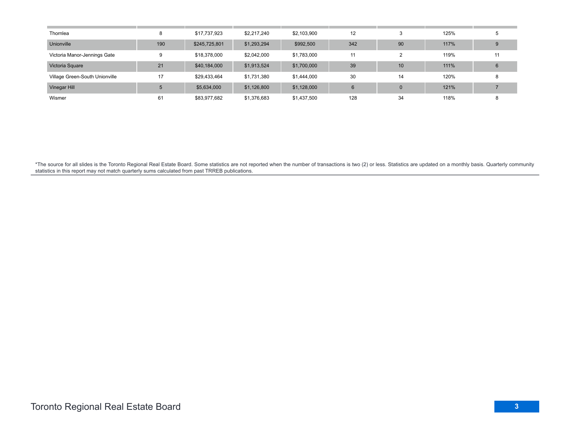| Thornlea                       |     | \$17,737,923  | \$2,217,240 | \$2,103,900 | 12  |              | 125% |    |
|--------------------------------|-----|---------------|-------------|-------------|-----|--------------|------|----|
| Unionville                     | 190 | \$245,725,801 | \$1,293,294 | \$992,500   | 342 | 90           | 117% | 9  |
| Victoria Manor-Jennings Gate   | 9   | \$18,378,000  | \$2,042,000 | \$1,783,000 | 11  | 2            | 119% | 11 |
| Victoria Square                | 21  | \$40,184,000  | \$1,913,524 | \$1,700,000 | 39  | 10           | 111% | 6  |
| Village Green-South Unionville | 17  | \$29,433,464  | \$1,731,380 | \$1,444,000 | 30  | 14           | 120% | 8  |
| Vinegar Hill                   |     | \$5,634,000   | \$1,126,800 | \$1,128,000 | 6   | $\mathbf{0}$ | 121% |    |
| Wismer                         | 61  | \$83,977,682  | \$1,376,683 | \$1,437,500 | 128 | 34           | 118% |    |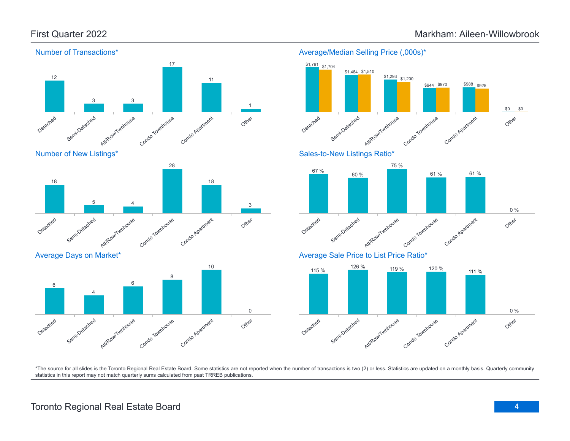



Average Days on Market\*





Average/Median Selling Price (,000s)\*



\*The source for all slides is the Toronto Regional Real Estate Board. Some statistics are not reported when the number of transactions is two (2) or less. Statistics are updated on a monthly basis. Quarterly community statistics in this report may not match quarterly sums calculated from past TRREB publications.

# Toronto Regional Real Estate Board **4**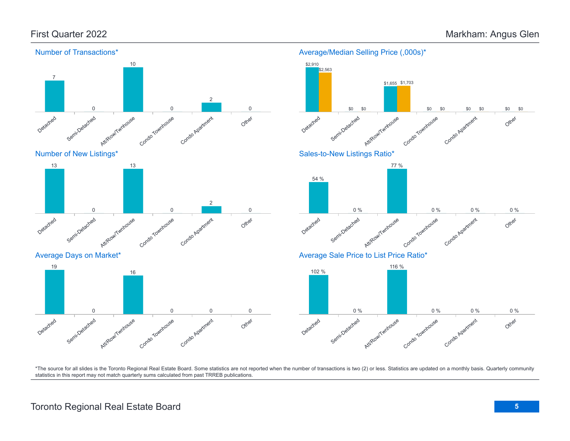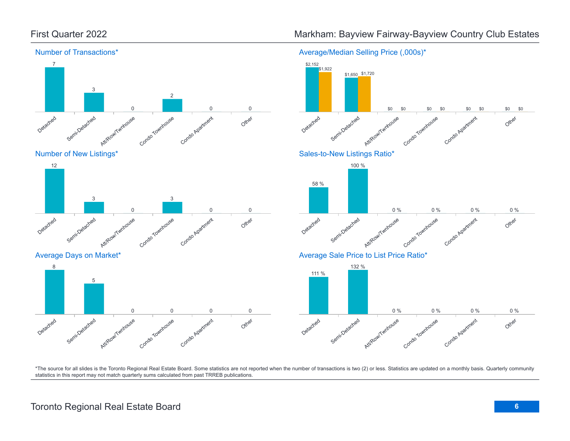

Toronto Regional Real Estate Board **6**

# First Quarter 2022 **Markham: Bayview Fairway-Bayview Country Club Estates**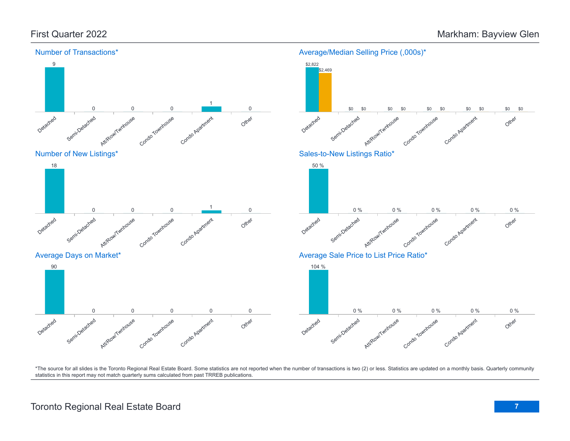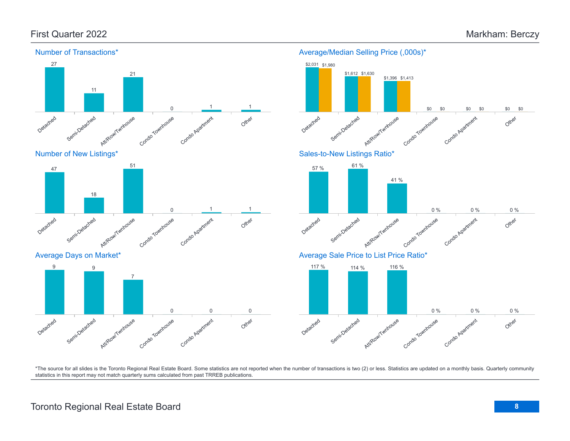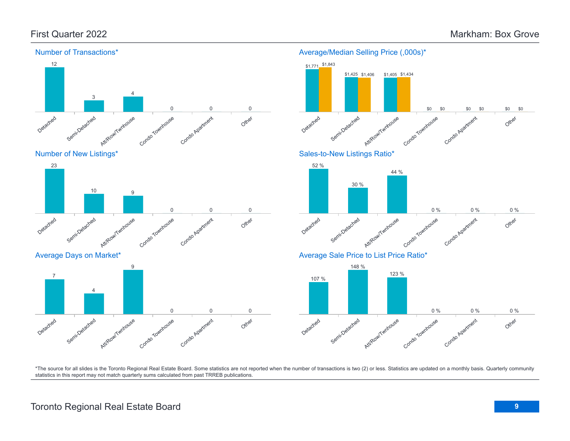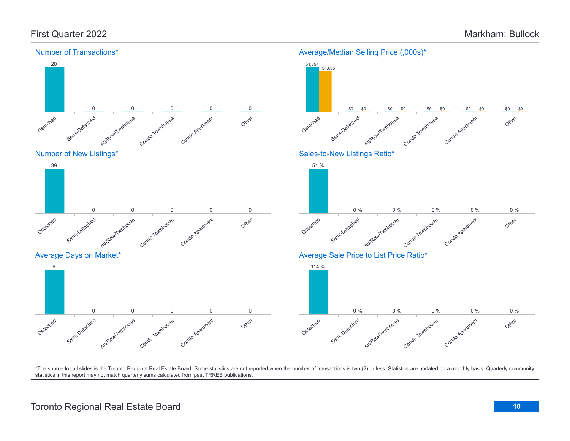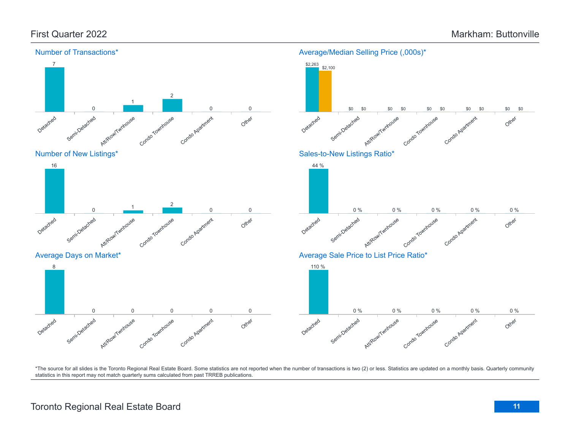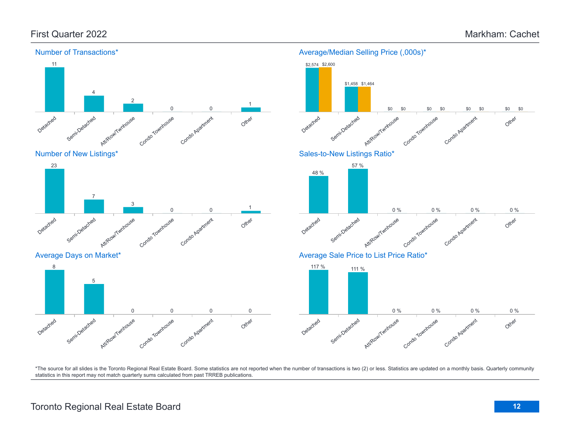

# Toronto Regional Real Estate Board **12**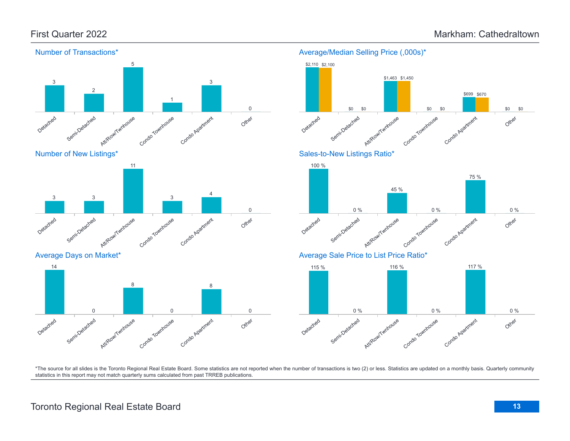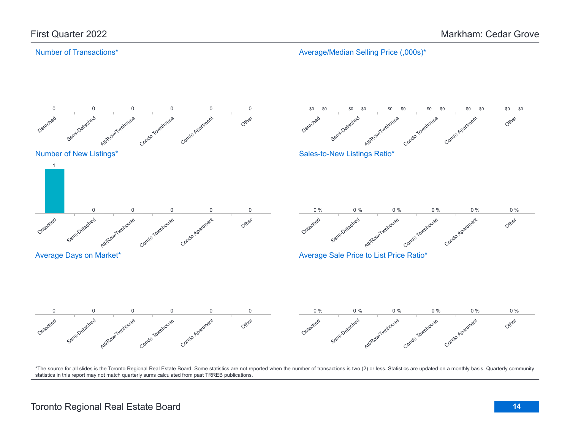#### Number of Transactions\*

Average/Median Selling Price (,000s)\*

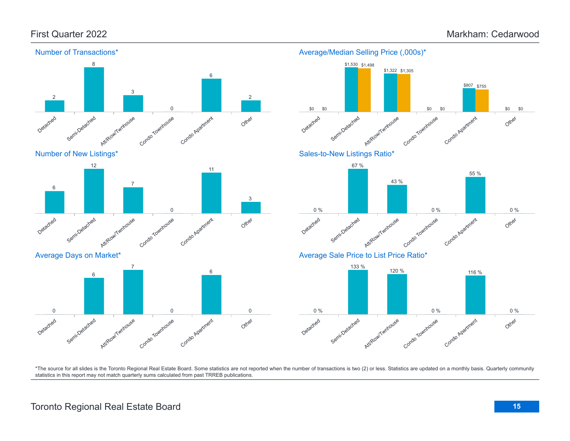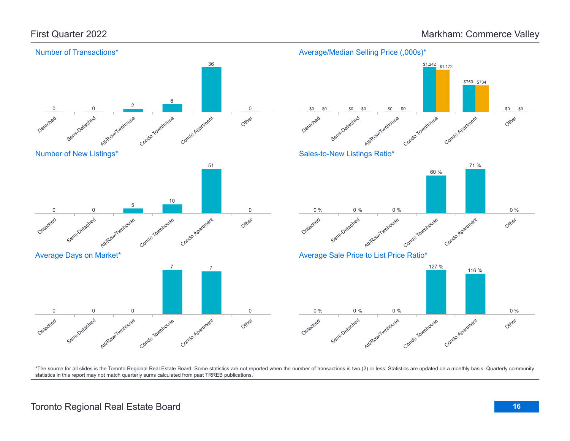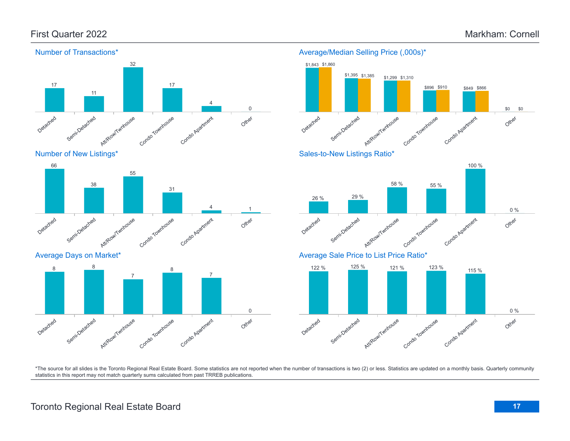

Number of New Listings\*



Average Days on Market\*



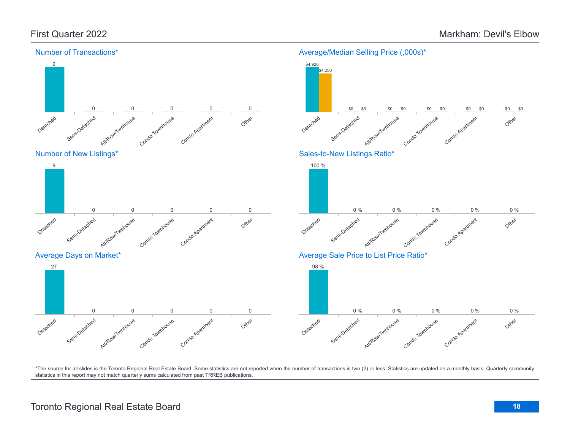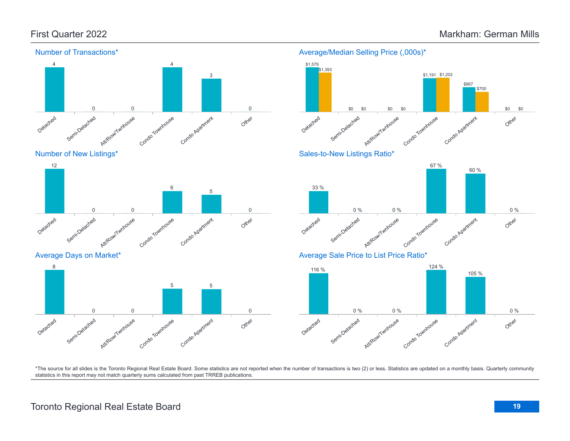Other

Other

Other

0 %

0 %

\$0

\$0



\*The source for all slides is the Toronto Regional Real Estate Board. Some statistics are not reported when the number of transactions is two (2) or less. Statistics are updated on a monthly basis. Quarterly community statistics in this report may not match quarterly sums calculated from past TRREB publications.

# Toronto Regional Real Estate Board **19**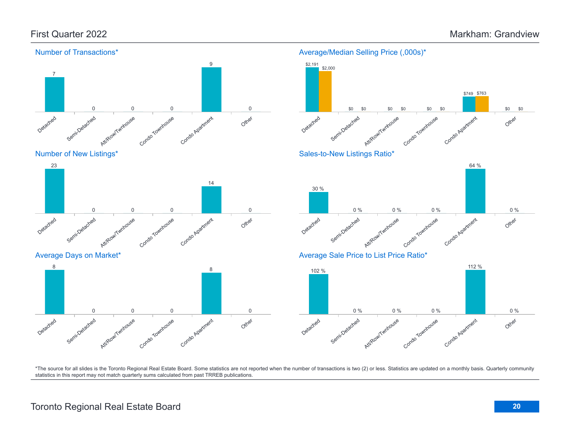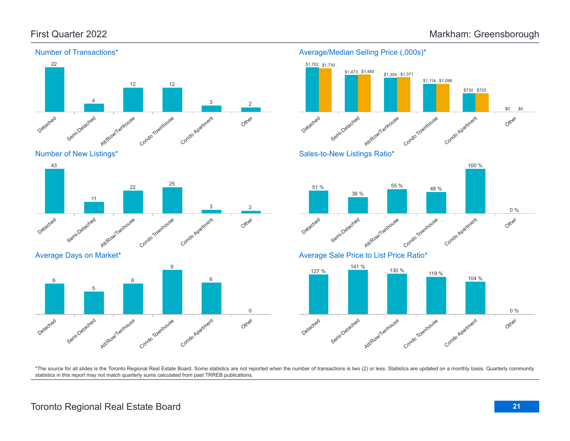



#### Average Days on Market\*



#### Average/Median Selling Price (,000s)\*





#### Average Sale Price to List Price Ratio\*

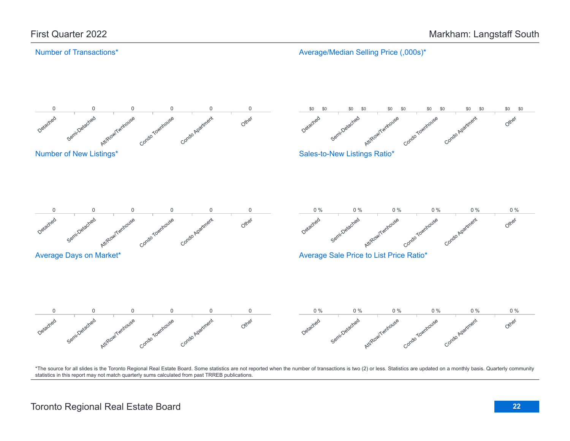#### Number of Transactions\*

Average/Median Selling Price (,000s)\*

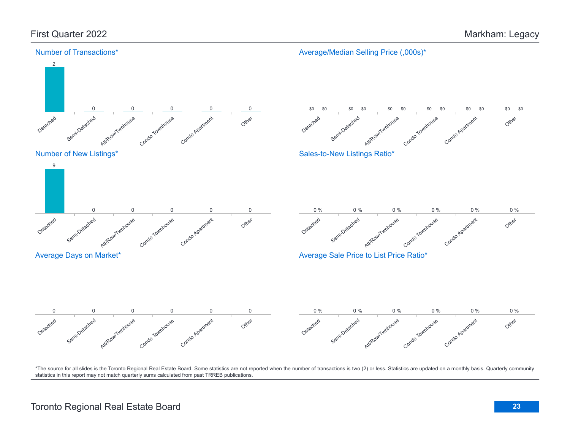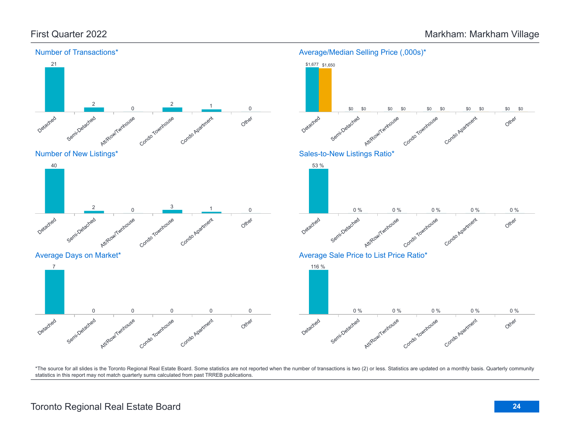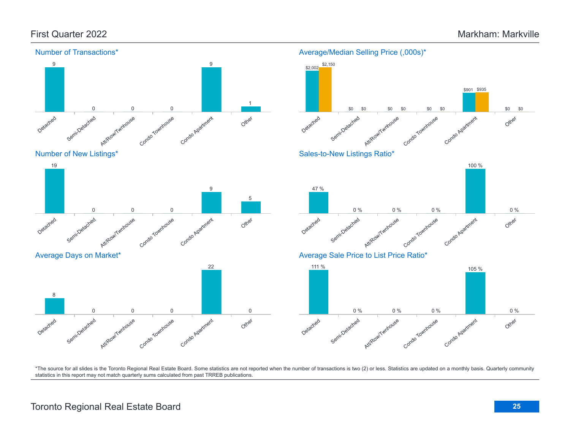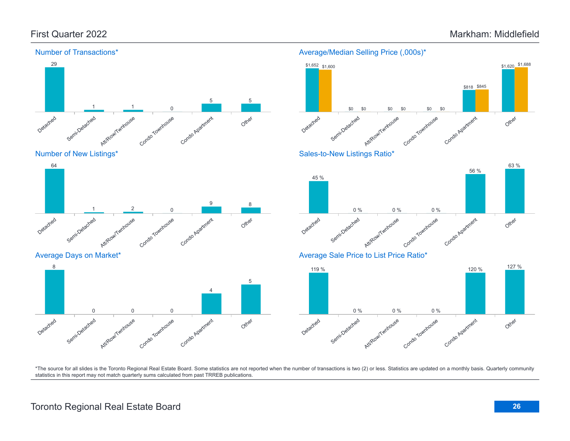Detached

Semi-Detached



Townhouse

Condo Apartment

Other

#### Average/Median Selling Price (,000s)\*



### Average Days on Market\* Detached Semi-Detached Att/Row/Twnhouse Condo Townhouse Condo Apartment Other 8 0 0 0 4 5

Attlieaw/Twnhouse

 $\frac{1}{2}$  0

### Average Sale Price to List Price Ratio\*

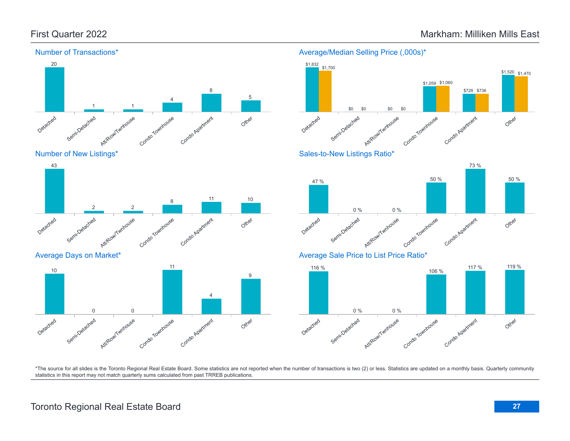

Number of New Listings\*



Average Days on Market\*



#### Detached Semi-Detached Att/Row/Twnhouse Condo Townhouse Condo Apartment Other \$1,832 \$1,700 \$0 \$0 \$0 \$0 \$1,059 \$1,060 \$728 \$736 \$1,520 \$1,470 Sales-to-New Listings Ratio\* 73 %





Average/Median Selling Price (,000s)\*

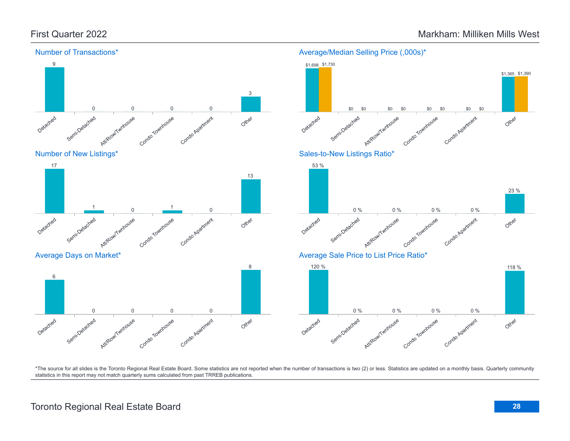

Average/Median Selling Price (,000s)\*

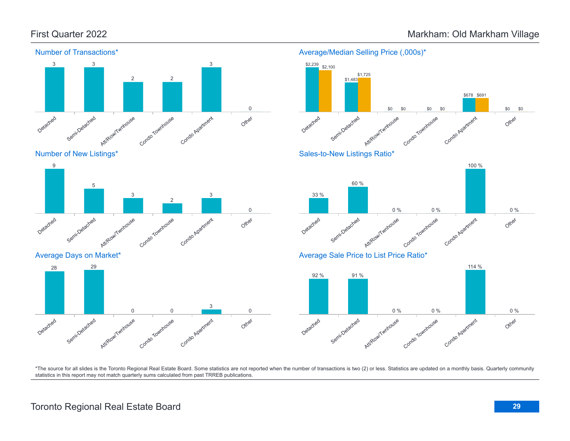

Number of New Listings\*



Average Days on Market\*





Average/Median Selling Price (,000s)\*

\$1,725

\$2,239 \$2,100



\*The source for all slides is the Toronto Regional Real Estate Board. Some statistics are not reported when the number of transactions is two (2) or less. Statistics are updated on a monthly basis. Quarterly community statistics in this report may not match quarterly sums calculated from past TRREB publications.

# Toronto Regional Real Estate Board **29**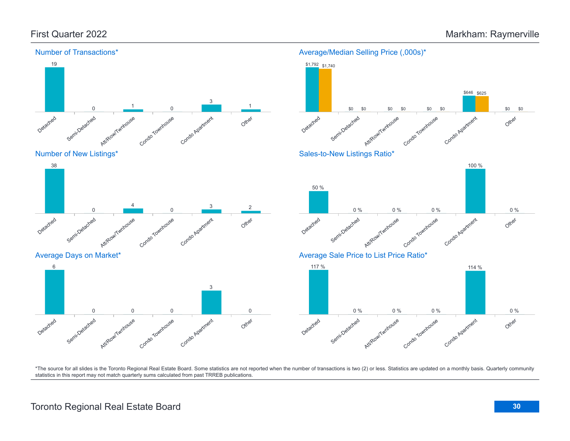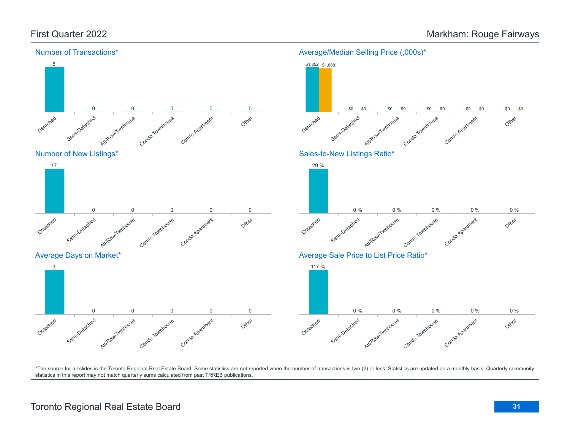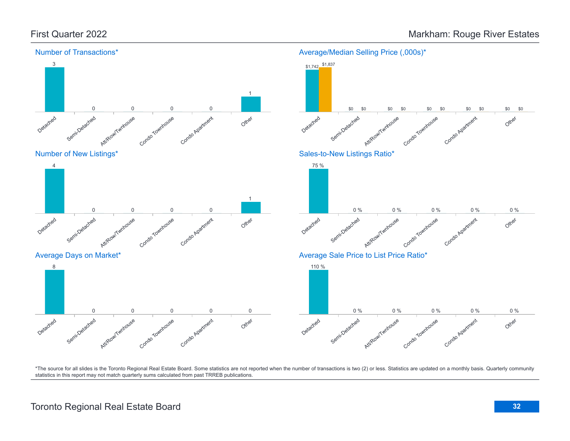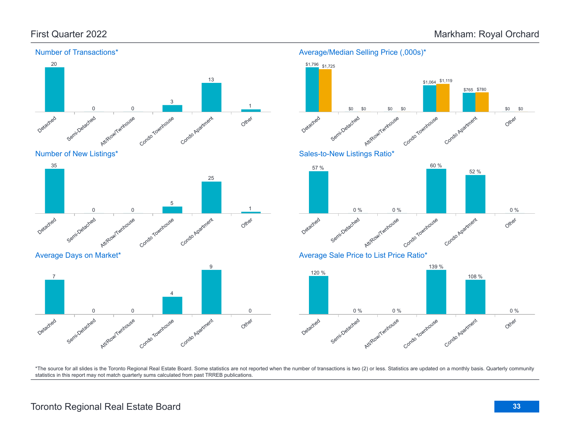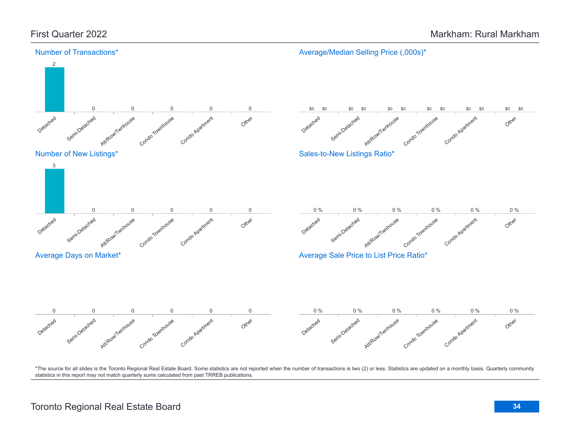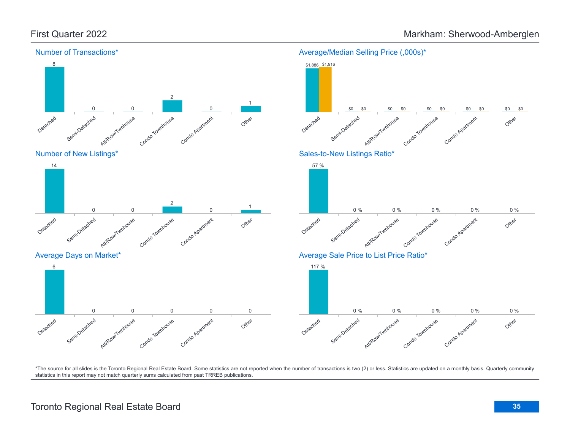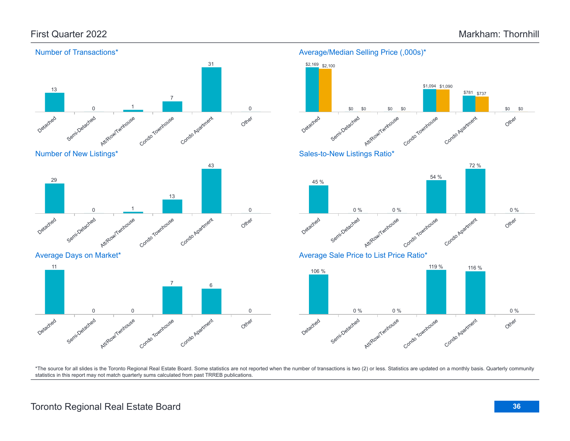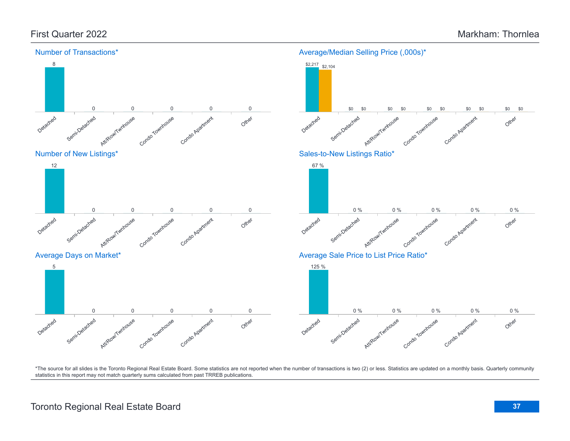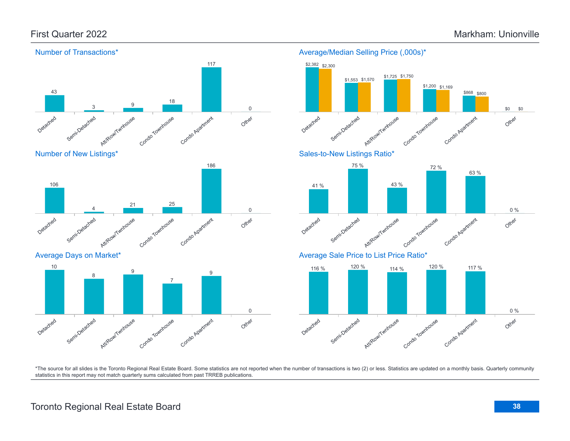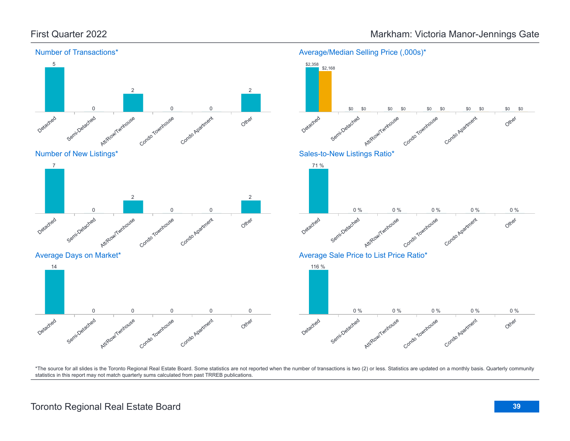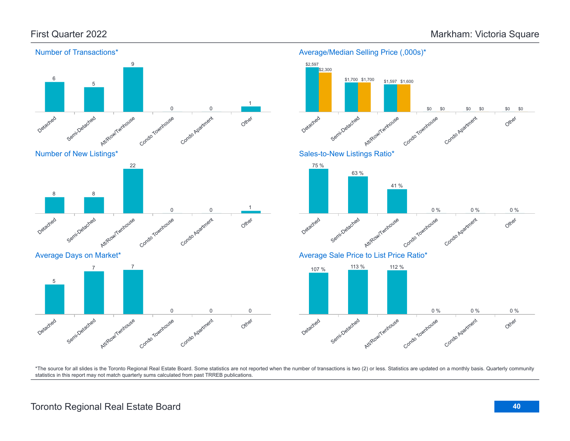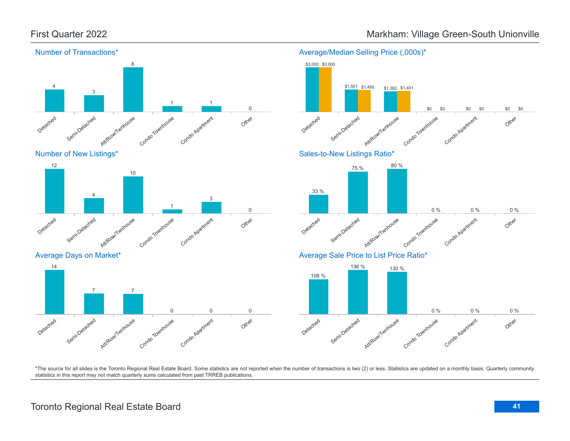Average Days on Market\*

Semi-Detached

Detached

14



## First Quarter 2022 **Markham: Village Green-South Unionville**





\*The source for all slides is the Toronto Regional Real Estate Board. Some statistics are not reported when the number of transactions is two (2) or less. Statistics are updated on a monthly basis. Quarterly community statistics in this report may not match quarterly sums calculated from past TRREB publications.

Other

Att/Row/Twnhouse

7 7

Condo Townhouse

Condo Apartment

0 0 0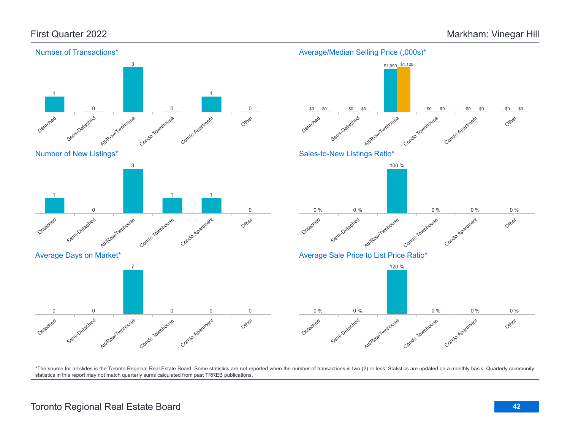